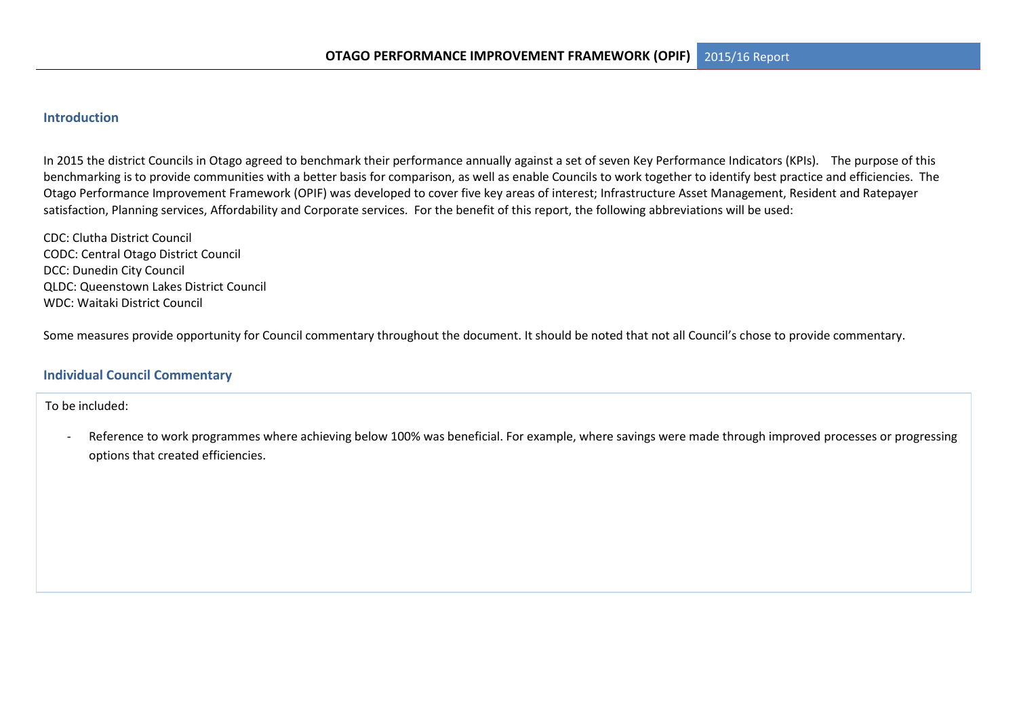### **Introduction**

In 2015 the district Councils in Otago agreed to benchmark their performance annually against a set of seven Key Performance Indicators (KPIs). The purpose of this benchmarking is to provide communities with a better basis for comparison, as well as enable Councils to work together to identify best practice and efficiencies. The Otago Performance Improvement Framework (OPIF) was developed to cover five key areas of interest; Infrastructure Asset Management, Resident and Ratepayer satisfaction, Planning services, Affordability and Corporate services. For the benefit of this report, the following abbreviations will be used:

CDC: Clutha District Council CODC: Central Otago District Council DCC: Dunedin City Council QLDC: Queenstown Lakes District Council WDC: Waitaki District Council

Some measures provide opportunity for Council commentary throughout the document. It should be noted that not all Council's chose to provide commentary.

### **Individual Council Commentary**

To be included:

Reference to work programmes where achieving below 100% was beneficial. For example, where savings were made through improved processes or progressing options that created efficiencies.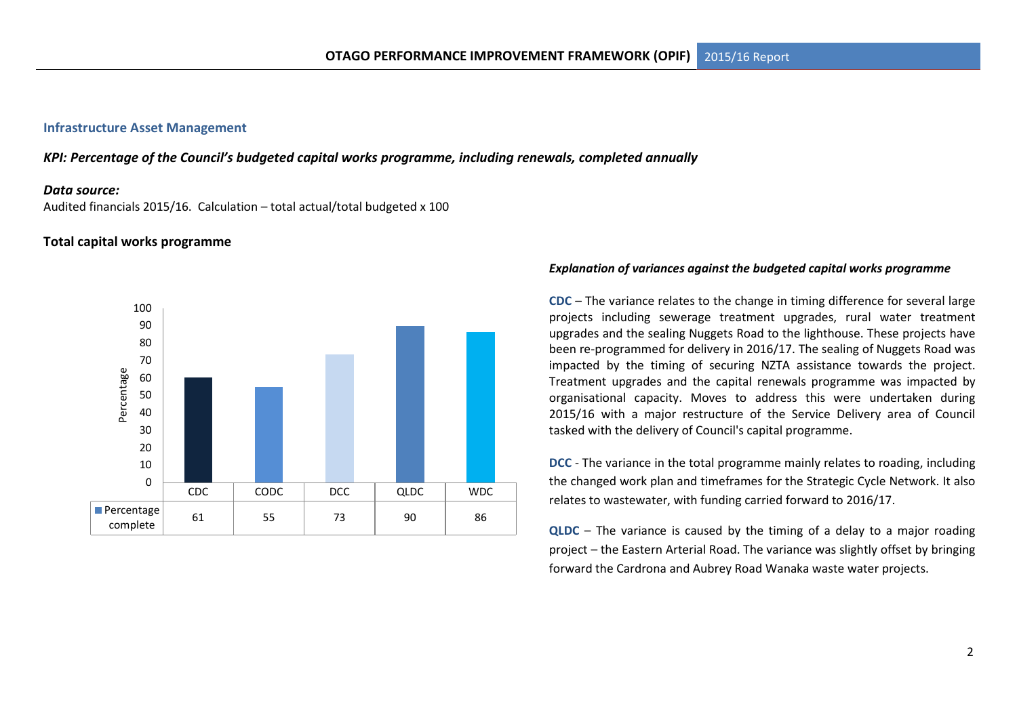### **Infrastructure Asset Management**

*KPI: Percentage of the Council's budgeted capital works programme, including renewals, completed annually*

#### *Data source:*

Audited financials 2015/16. Calculation – total actual/total budgeted x 100

### **Total capital works programme**



#### *Explanation of variances against the budgeted capital works programme*

**CDC** – The variance relates to the change in timing difference for several large projects including sewerage treatment upgrades, rural water treatment upgrades and the sealing Nuggets Road to the lighthouse. These projects have been re-programmed for delivery in 2016/17. The sealing of Nuggets Road was impacted by the timing of securing NZTA assistance towards the project. Treatment upgrades and the capital renewals programme was impacted by organisational capacity. Moves to address this were undertaken during 2015/16 with a major restructure of the Service Delivery area of Council tasked with the delivery of Council's capital programme.

**DCC** - The variance in the total programme mainly relates to roading, including the changed work plan and timeframes for the Strategic Cycle Network. It also relates to wastewater, with funding carried forward to 2016/17.

**QLDC** – The variance is caused by the timing of a delay to a major roading project – the Eastern Arterial Road. The variance was slightly offset by bringing forward the Cardrona and Aubrey Road Wanaka waste water projects.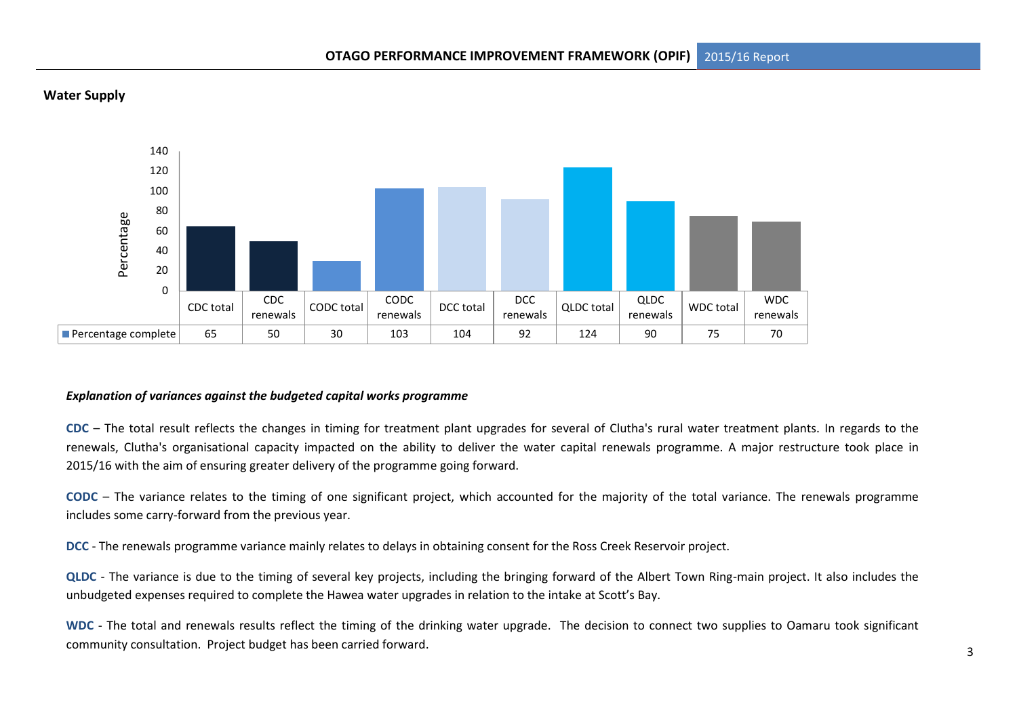

# **Water Supply**

### *Explanation of variances against the budgeted capital works programme*

**CDC** – The total result reflects the changes in timing for treatment plant upgrades for several of Clutha's rural water treatment plants. In regards to the renewals, Clutha's organisational capacity impacted on the ability to deliver the water capital renewals programme. A major restructure took place in 2015/16 with the aim of ensuring greater delivery of the programme going forward.

**CODC** – The variance relates to the timing of one significant project, which accounted for the majority of the total variance. The renewals programme includes some carry-forward from the previous year.

**DCC** - The renewals programme variance mainly relates to delays in obtaining consent for the Ross Creek Reservoir project.

**QLDC** - The variance is due to the timing of several key projects, including the bringing forward of the Albert Town Ring-main project. It also includes the unbudgeted expenses required to complete the Hawea water upgrades in relation to the intake at Scott's Bay.

WDC - The total and renewals results reflect the timing of the drinking water upgrade. The decision to connect two supplies to Oamaru took significant community consultation. Project budget has been carried forward.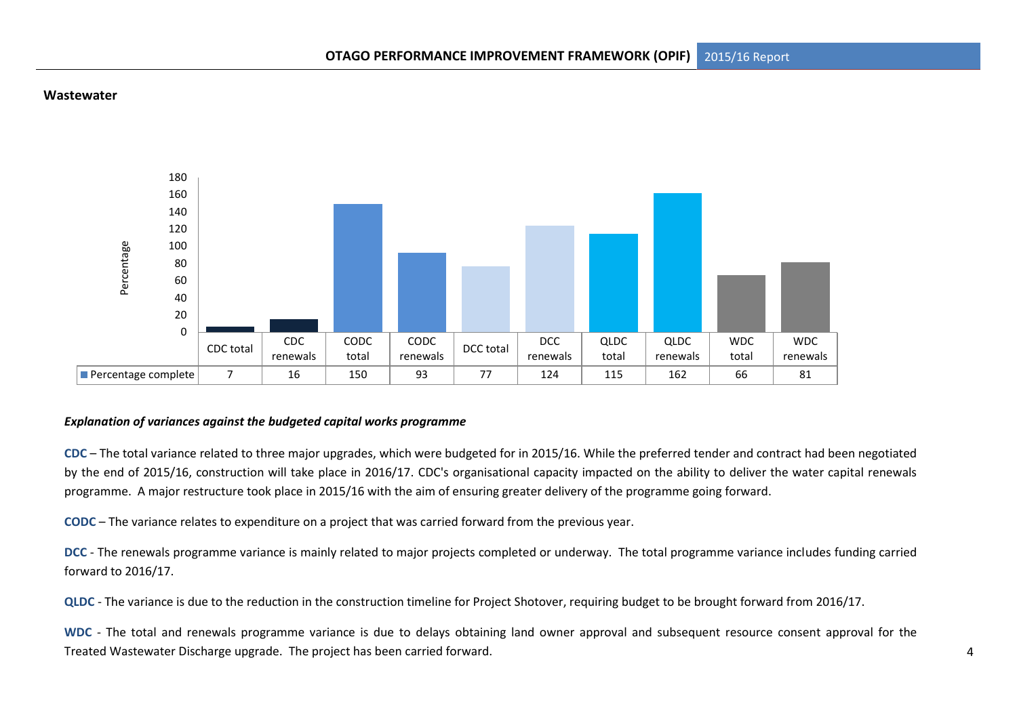#### **Wastewater**



### *Explanation of variances against the budgeted capital works programme*

**CDC** – The total variance related to three major upgrades, which were budgeted for in 2015/16. While the preferred tender and contract had been negotiated by the end of 2015/16, construction will take place in 2016/17. CDC's organisational capacity impacted on the ability to deliver the water capital renewals programme. A major restructure took place in 2015/16 with the aim of ensuring greater delivery of the programme going forward.

**CODC** – The variance relates to expenditure on a project that was carried forward from the previous year.

**DCC** - The renewals programme variance is mainly related to major projects completed or underway. The total programme variance includes funding carried forward to 2016/17.

**QLDC** - The variance is due to the reduction in the construction timeline for Project Shotover, requiring budget to be brought forward from 2016/17.

**WDC** - The total and renewals programme variance is due to delays obtaining land owner approval and subsequent resource consent approval for the Treated Wastewater Discharge upgrade. The project has been carried forward.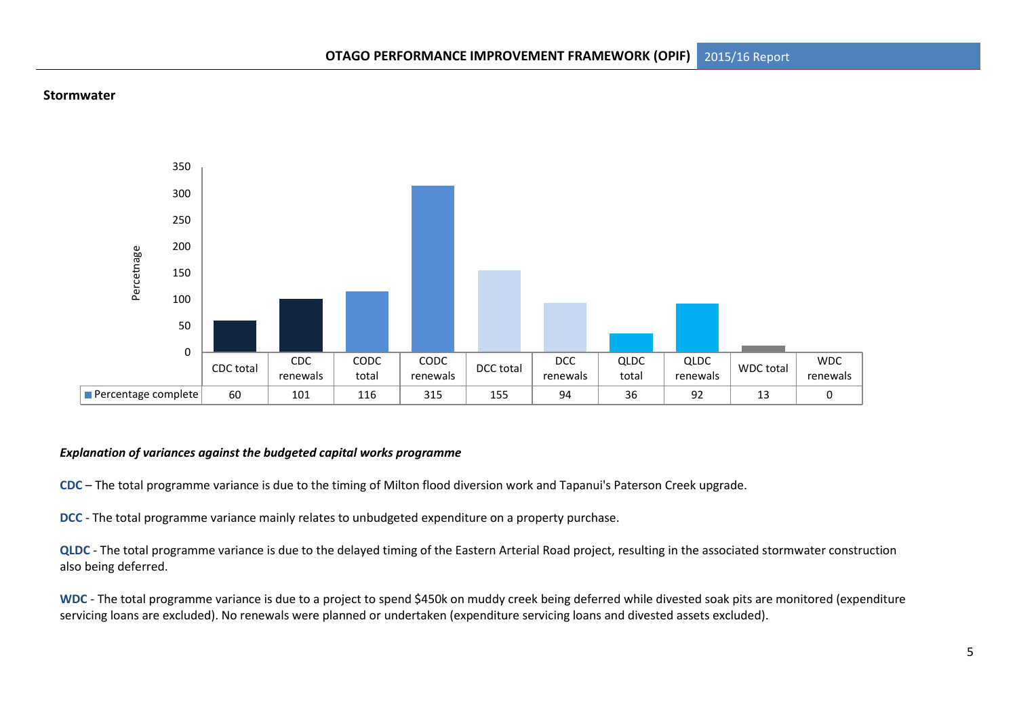

### **Stormwater**

### *Explanation of variances against the budgeted capital works programme*

**CDC** – The total programme variance is due to the timing of Milton flood diversion work and Tapanui's Paterson Creek upgrade.

**DCC** - The total programme variance mainly relates to unbudgeted expenditure on a property purchase.

**QLDC** - The total programme variance is due to the delayed timing of the Eastern Arterial Road project, resulting in the associated stormwater construction also being deferred.

**WDC** - The total programme variance is due to a project to spend \$450k on muddy creek being deferred while divested soak pits are monitored (expenditure servicing loans are excluded). No renewals were planned or undertaken (expenditure servicing loans and divested assets excluded).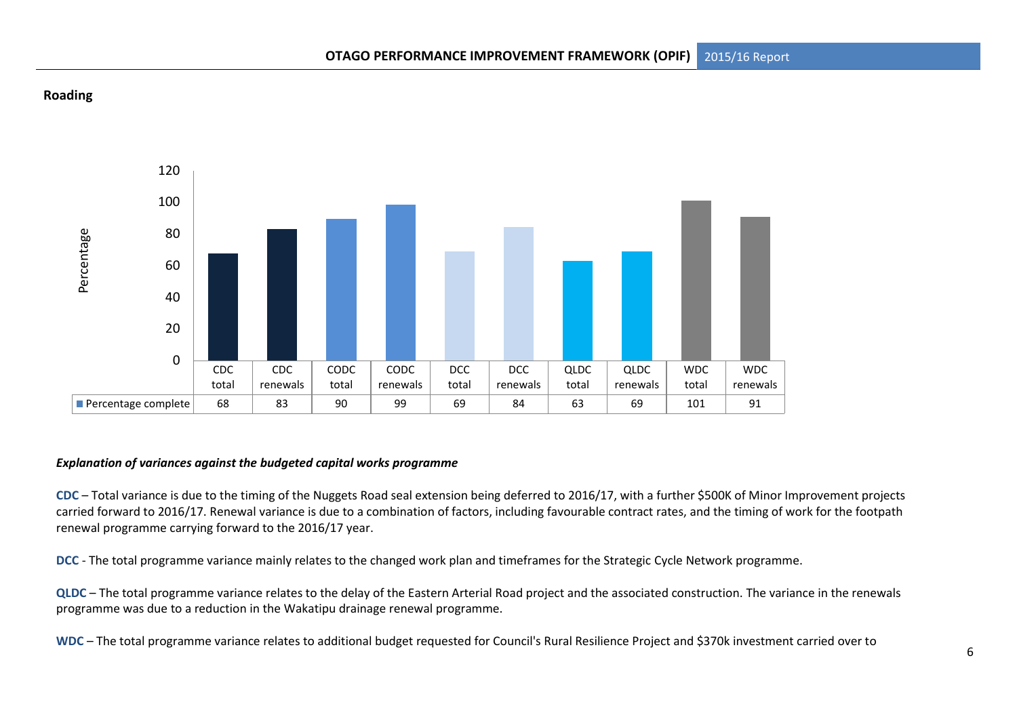# **Roading**



### *Explanation of variances against the budgeted capital works programme*

**CDC** – Total variance is due to the timing of the Nuggets Road seal extension being deferred to 2016/17, with a further \$500K of Minor Improvement projects carried forward to 2016/17. Renewal variance is due to a combination of factors, including favourable contract rates, and the timing of work for the footpath renewal programme carrying forward to the 2016/17 year.

**DCC** - The total programme variance mainly relates to the changed work plan and timeframes for the Strategic Cycle Network programme.

**QLDC** – The total programme variance relates to the delay of the Eastern Arterial Road project and the associated construction. The variance in the renewals programme was due to a reduction in the Wakatipu drainage renewal programme.

**WDC** – The total programme variance relates to additional budget requested for Council's Rural Resilience Project and \$370k investment carried over to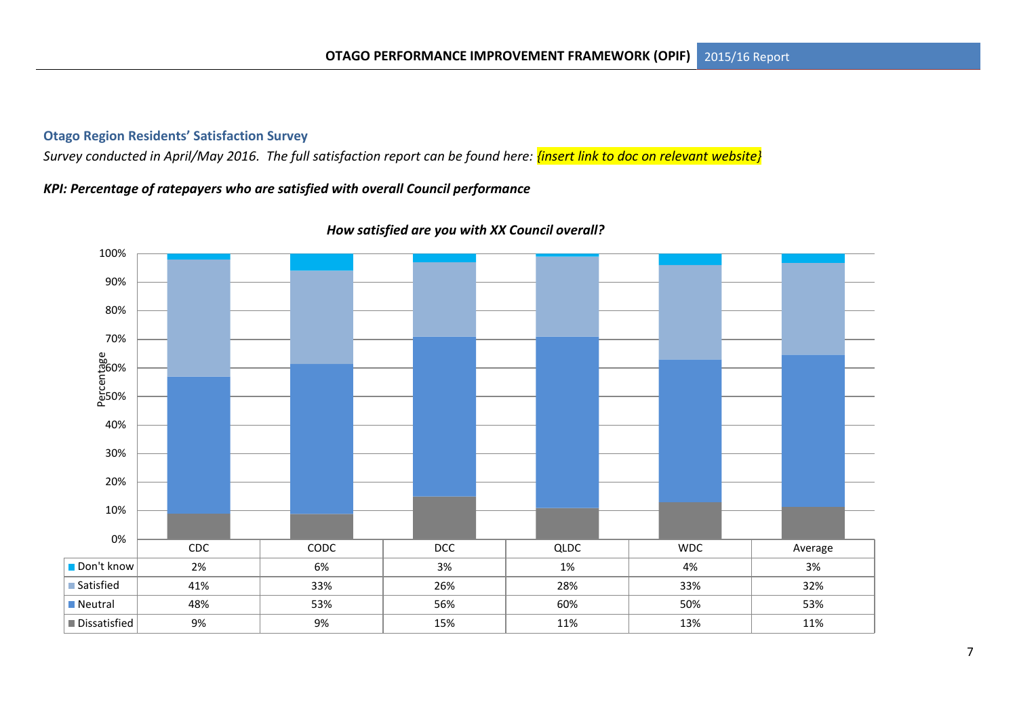# **Otago Region Residents' Satisfaction Survey**

*Survey conducted in April/May 2016. The full satisfaction report can be found here: <mark>{insert link to doc on relevant website}</mark>* 

# *KPI: Percentage of ratepayers who are satisfied with overall Council performance*



## *How satisfied are you with XX Council overall?*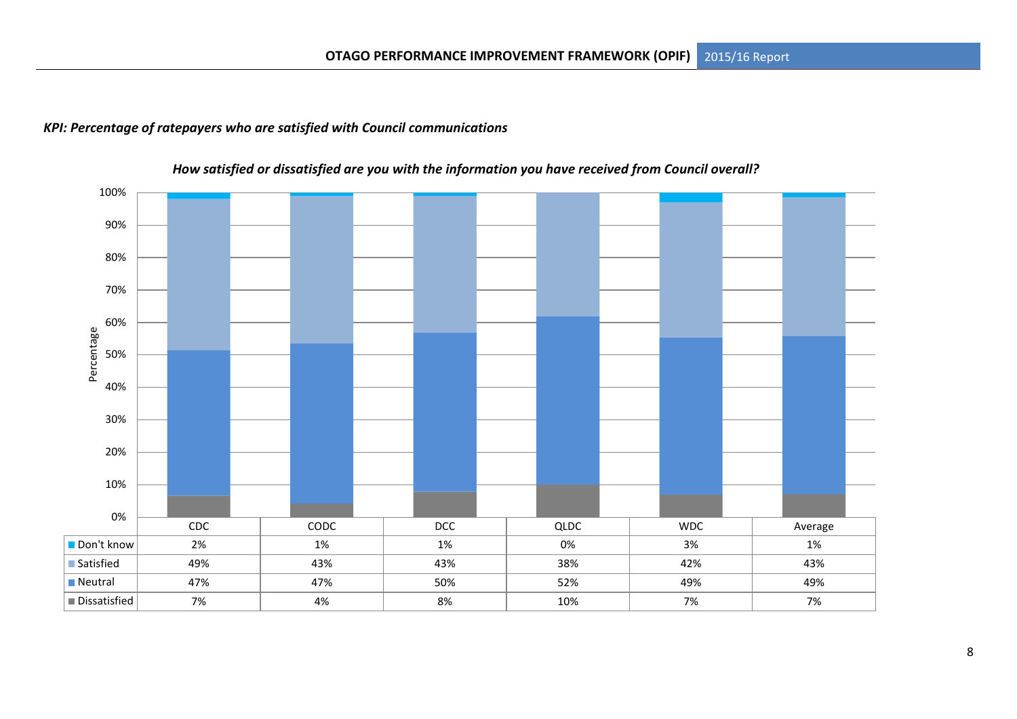# *KPI: Percentage of ratepayers who are satisfied with Council communications*



# *How satisfied or dissatisfied are you with the information you have received from Council overall?*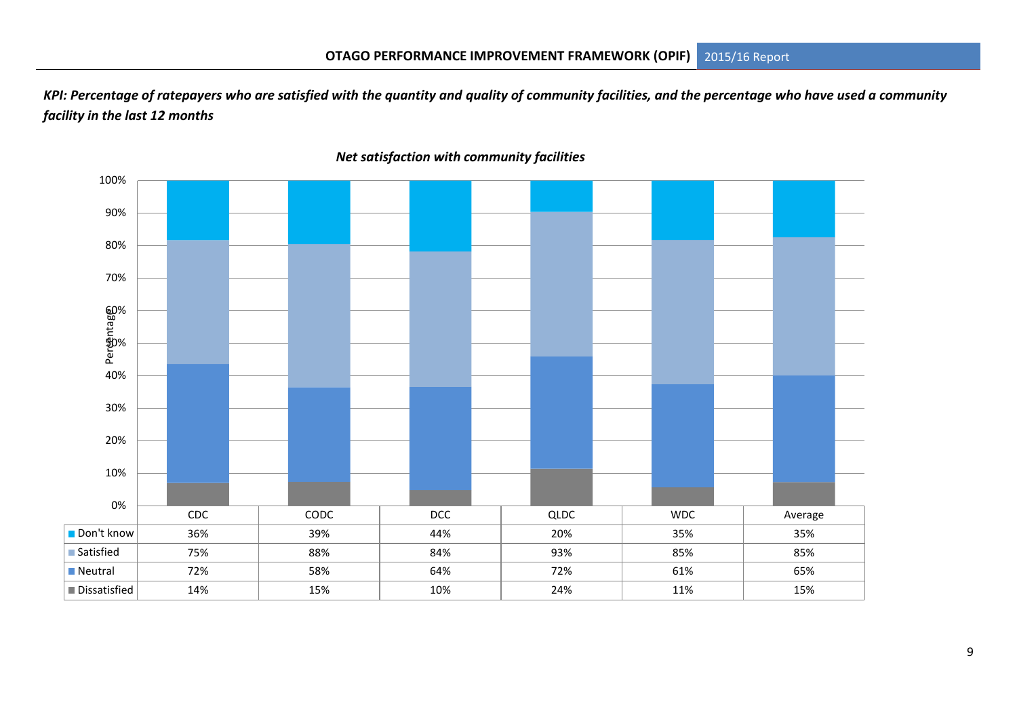*KPI: Percentage of ratepayers who are satisfied with the quantity and quality of community facilities, and the percentage who have used a community facility in the last 12 months* 



*Net satisfaction with community facilities*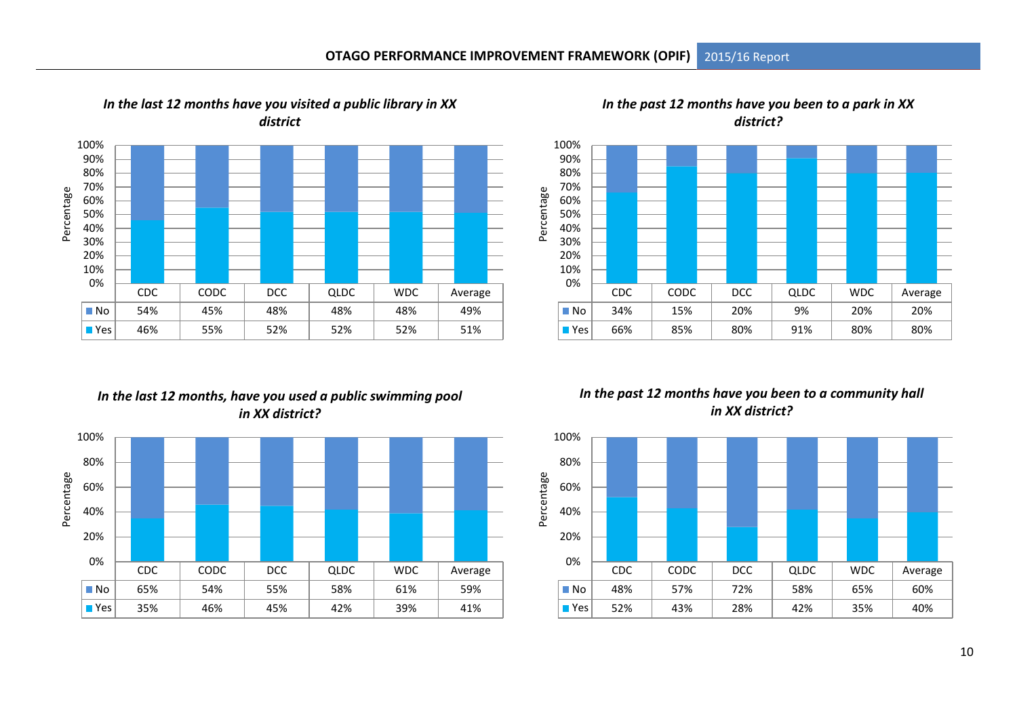

*In the past 12 months have you been to a park in XX district?* 



# *In the last 12 months, have you used a public swimming pool in XX district?*



## *In the past 12 months have you been to a community hall in XX district?*

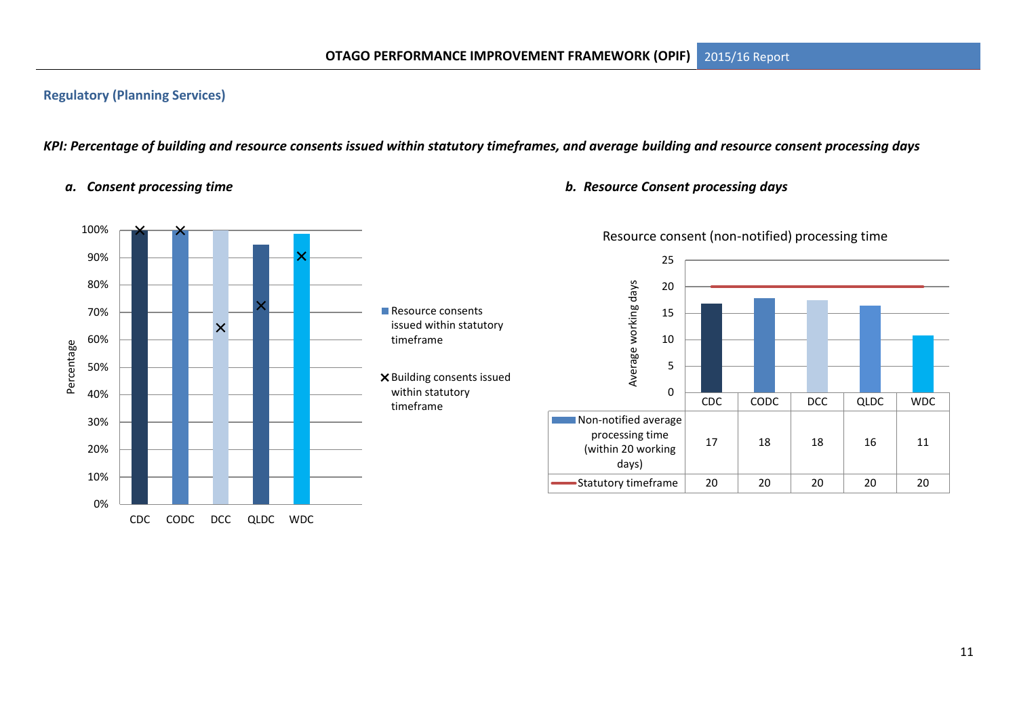# **Regulatory (Planning Services)**

*KPI: Percentage of building and resource consents issued within statutory timeframes, and average building and resource consent processing days*



### *a. Consent processing time b. Resource Consent processing days*



# Resource consent (non-notified) processing time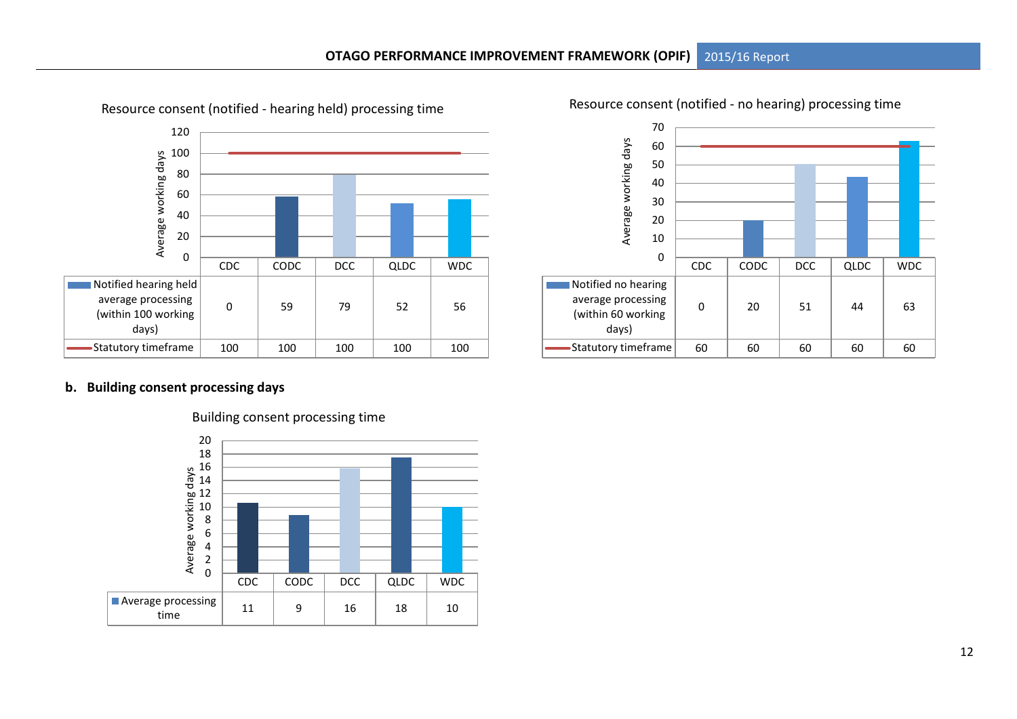

Resource consent (notified - hearing held) processing time

Resource consent (notified - no hearing) processing time



### **b. Building consent processing days**



#### Building consent processing time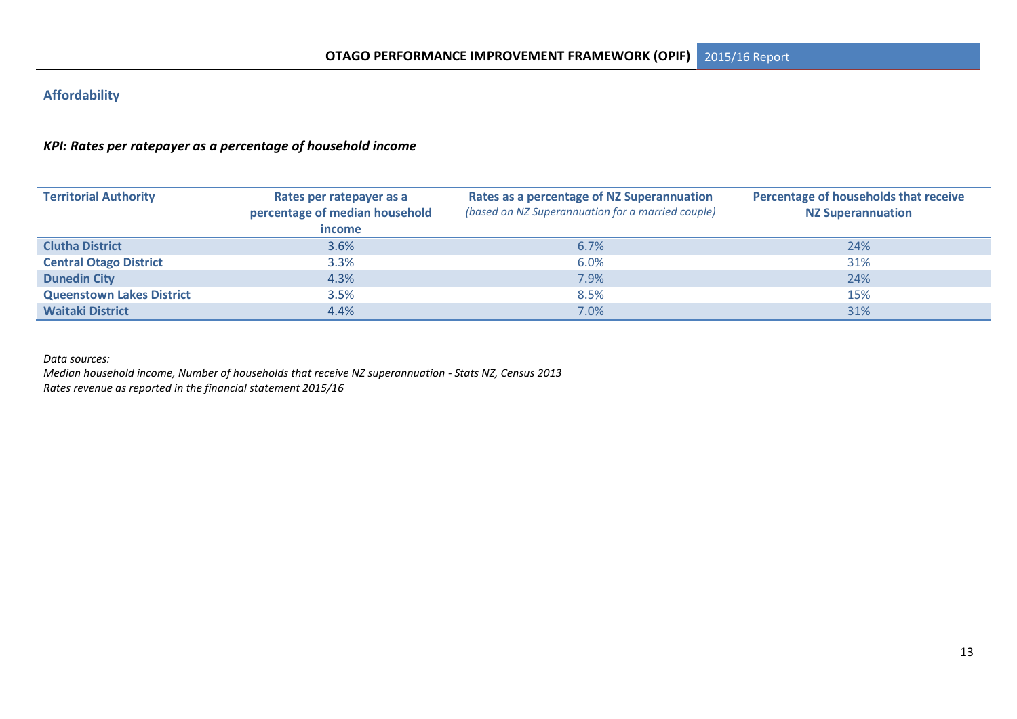# **Affordability**

# *KPI: Rates per ratepayer as a percentage of household income*

| <b>Territorial Authority</b>     | Rates per ratepayer as a<br>percentage of median household<br>income | Rates as a percentage of NZ Superannuation<br>(based on NZ Superannuation for a married couple) | Percentage of households that receive<br><b>NZ Superannuation</b> |
|----------------------------------|----------------------------------------------------------------------|-------------------------------------------------------------------------------------------------|-------------------------------------------------------------------|
| <b>Clutha District</b>           | 3.6%                                                                 | 6.7%                                                                                            | 24%                                                               |
| <b>Central Otago District</b>    | 3.3%                                                                 | 6.0%                                                                                            | 31%                                                               |
| <b>Dunedin City</b>              | 4.3%                                                                 | 7.9%                                                                                            | 24%                                                               |
| <b>Queenstown Lakes District</b> | 3.5%                                                                 | 8.5%                                                                                            | 15%                                                               |
| <b>Waitaki District</b>          | 4.4%                                                                 | $7.0\%$                                                                                         | 31%                                                               |

*Data sources:* 

*Median household income, Number of households that receive NZ superannuation - Stats NZ, Census 2013 Rates revenue as reported in the financial statement 2015/16*